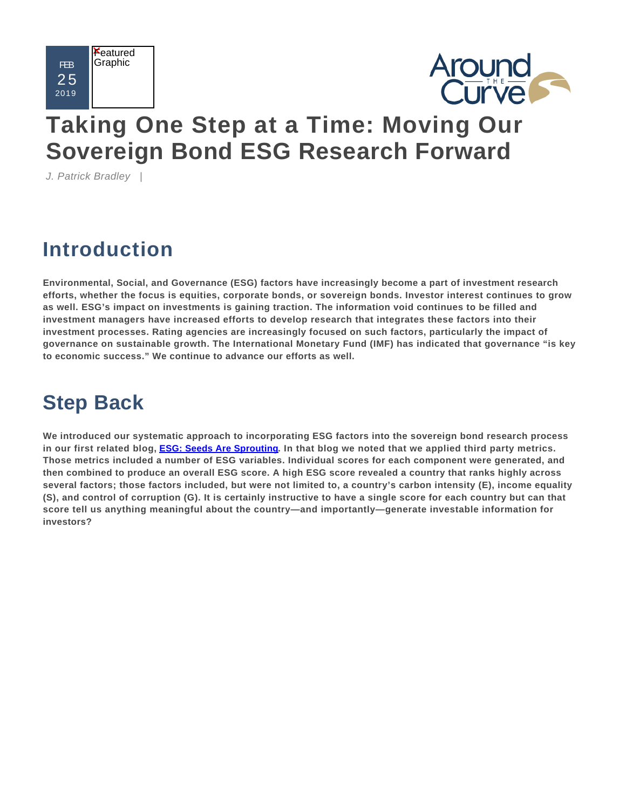



# **[Taking One Step at a Time: Moving Our](file:/web/brandyw/aroundthecurve/index.cfm?page=article&content=757623637) [Sovereign Bond ESG Research Forward](file:/web/brandyw/aroundthecurve/index.cfm?page=article&content=757623637)**

J. Patrick Bradley |

## **Introduction**

**Environmental, Social, and Governance (ESG) factors have increasingly become a part of investment research efforts, whether the focus is equities, corporate bonds, or sovereign bonds. Investor interest continues to grow as well. ESG's impact on investments is gaining traction. The information void continues to be filled and investment managers have increased efforts to develop research that integrates these factors into their investment processes. Rating agencies are increasingly focused on such factors, particularly the impact of governance on sustainable growth. The International Monetary Fund (IMF) has indicated that governance "is key to economic success." We continue to advance our efforts as well.** 

## **Step Back**

**We introduced our systematic approach to incorporating ESG factors into the sovereign bond research process in our first related blog, [ESG: Seeds Are Sprouting](file:/web/brandyw/aroundthecurve/index.cfm?page=article&content=387795689). In that blog we noted that we applied third party metrics. Those metrics included a number of ESG variables. Individual scores for each component were generated, and then combined to produce an overall ESG score. A high ESG score revealed a country that ranks highly across several factors; those factors included, but were not limited to, a country's carbon intensity (E), income equality (S), and control of corruption (G). It is certainly instructive to have a single score for each country but can that score tell us anything meaningful about the country—and importantly—generate investable information for investors?**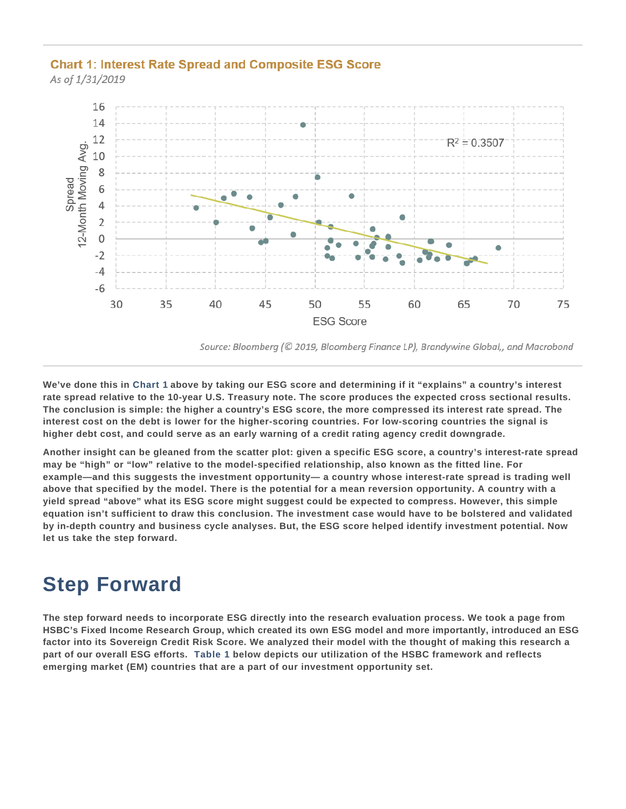### **Chart 1: Interest Rate Spread and Composite ESG Score**

As of 1/31/2019



Source: Bloomberg (© 2019, Bloomberg Finance LP), Brandywine Global,, and Macrobond

**We've done this in Chart 1 above by taking our ESG score and determining if it "explains" a country's interest rate spread relative to the 10-year U.S. Treasury note. The score produces the expected cross sectional results. The conclusion is simple: the higher a country's ESG score, the more compressed its interest rate spread. The interest cost on the debt is lower for the higher-scoring countries. For low-scoring countries the signal is higher debt cost, and could serve as an early warning of a credit rating agency credit downgrade.** 

**Another insight can be gleaned from the scatter plot: given a specific ESG score, a country's interest-rate spread may be "high" or "low" relative to the model-specified relationship, also known as the fitted line. For example—and this suggests the investment opportunity— a country whose interest-rate spread is trading well above that specified by the model. There is the potential for a mean reversion opportunity. A country with a yield spread "above" what its ESG score might suggest could be expected to compress. However, this simple equation isn't sufficient to draw this conclusion. The investment case would have to be bolstered and validated by in-depth country and business cycle analyses. But, the ESG score helped identify investment potential. Now let us take the step forward.** 

### **Step Forward**

**The step forward needs to incorporate ESG directly into the research evaluation process. We took a page from HSBC's Fixed Income Research Group, which created its own ESG model and more importantly, introduced an ESG factor into its Sovereign Credit Risk Score. We analyzed their model with the thought of making this research a part of our overall ESG efforts. Table 1 below depicts our utilization of the HSBC framework and reflects emerging market (EM) countries that are a part of our investment opportunity set.**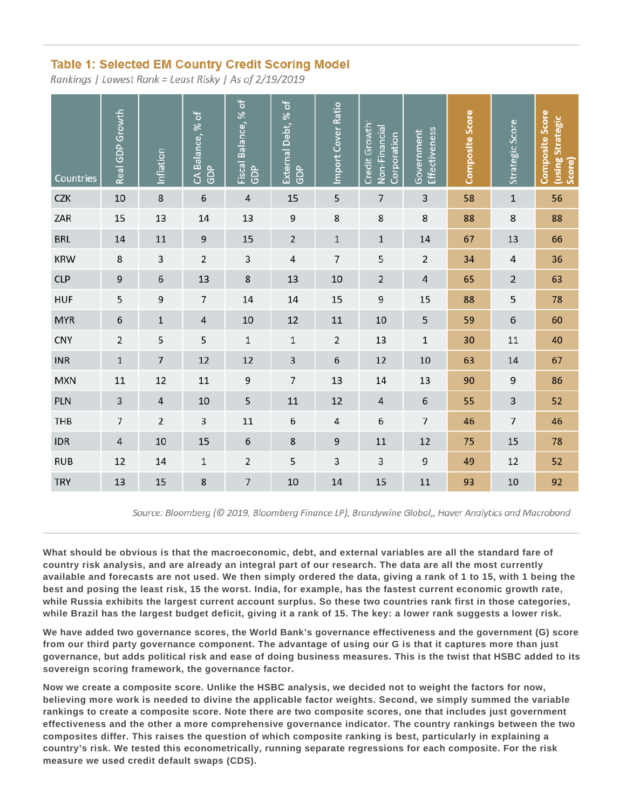### **Table 1: Selected EM Country Credit Scoring Model**

Rankings | Lowest Rank = Least Risky | As of 2/19/2019

| Countries  | Real GDP Growth  | Inflation      | CA Balance, % of<br>GDP | Fiscal Balance, % of<br>GDP | External Debt, % of<br><b>GDP</b> | Import Cover Ratio | Credit Growth:<br>Non-Financial<br>Corporation | Effectiveness<br>Government | Composite Score | Strategic Score | Composite Score<br>using Strategic<br>Score) |
|------------|------------------|----------------|-------------------------|-----------------------------|-----------------------------------|--------------------|------------------------------------------------|-----------------------------|-----------------|-----------------|----------------------------------------------|
| <b>CZK</b> | $10\,$           | 8              | 6                       | $\overline{4}$              | 15                                | 5                  | 7                                              | 3                           | 58              | $\mathbf 1$     | 56                                           |
| ZAR        | 15               | 13             | 14                      | 13                          | 9                                 | 8                  | 8                                              | 8                           | 88              | 8               | 88                                           |
| <b>BRL</b> | 14               | $11\,$         | 9                       | 15                          | $\overline{2}$                    | $\mathbf 1$        | $\mathbf 1$                                    | 14                          | 67              | 13              | 66                                           |
| <b>KRW</b> | 8                | 3              | $\overline{2}$          | 3                           | $\sqrt{4}$                        | $\overline{7}$     | 5                                              | $\overline{2}$              | 34              | $\sqrt{4}$      | 36                                           |
| <b>CLP</b> | $\boldsymbol{9}$ | 6              | 13                      | 8                           | 13                                | 10                 | $\overline{2}$                                 | $\sqrt{4}$                  | 65              | $\mathbf 2$     | 63                                           |
| <b>HUF</b> | 5                | 9              | $\overline{7}$          | 14                          | 14                                | 15                 | 9                                              | 15                          | 88              | 5               | 78                                           |
| <b>MYR</b> | 6                | $\mathbf 1$    | 4                       | 10                          | 12                                | 11                 | 10                                             | 5                           | 59              | $\,$ 6 $\,$     | 60                                           |
| <b>CNY</b> | $\overline{2}$   | 5              | 5                       | $1\,$                       | $\mathbf 1$                       | $\overline{2}$     | 13                                             | $1\,$                       | 30              | 11              | 40                                           |
| <b>INR</b> | $\mathbf 1$      | $\overline{7}$ | 12                      | 12                          | 3                                 | $\sqrt{6}$         | 12                                             | 10                          | 63              | 14              | 67                                           |
| <b>MXN</b> | $11\,$           | 12             | $11\,$                  | 9                           | $\overline{7}$                    | 13                 | 14                                             | 13                          | 90              | 9               | 86                                           |
| <b>PLN</b> | $\mathsf 3$      | $\sqrt{4}$     | $10\,$                  | 5                           | $11\,$                            | 12                 | $\overline{4}$                                 | $\,$ 6 $\,$                 | 55              | $\mathsf 3$     | 52                                           |
| THB        | $\overline{7}$   | $\overline{2}$ | 3                       | $11\,$                      | 6                                 | $\sqrt{4}$         | 6                                              | $\overline{7}$              | 46              | $\overline{7}$  | 46                                           |
| <b>IDR</b> | $\sqrt{4}$       | $10\,$         | 15                      | 6                           | $\bf8$                            | 9                  | 11                                             | 12                          | 75              | 15              | 78                                           |
| <b>RUB</b> | 12               | 14             | $\,1\,$                 | $\overline{2}$              | 5                                 | 3                  | 3                                              | 9                           | 49              | 12              | 52                                           |
| <b>TRY</b> | 13               | 15             | 8                       | $\overline{7}$              | $10\,$                            | 14                 | 15                                             | 11                          | 93              | $10\,$          | 92                                           |

Source: Bloomberg (© 2019, Bloomberg Finance LP), Brandywine Global,, Haver Analytics and Macrobond

**What should be obvious is that the macroeconomic, debt, and external variables are all the standard fare of country risk analysis, and are already an integral part of our research. The data are all the most currently available and forecasts are not used. We then simply ordered the data, giving a rank of 1 to 15, with 1 being the best and posing the least risk, 15 the worst. India, for example, has the fastest current economic growth rate, while Russia exhibits the largest current account surplus. So these two countries rank first in those categories, while Brazil has the largest budget deficit, giving it a rank of 15. The key: a lower rank suggests a lower risk.** 

**We have added two governance scores, the World Bank's governance effectiveness and the government (G) score from our third party governance component. The advantage of using our G is that it captures more than just governance, but adds political risk and ease of doing business measures. This is the twist that HSBC added to its sovereign scoring framework, the governance factor.** 

**Now we create a composite score. Unlike the HSBC analysis, we decided not to weight the factors for now, believing more work is needed to divine the applicable factor weights. Second, we simply summed the variable rankings to create a composite score. Note there are two composite scores, one that includes just government effectiveness and the other a more comprehensive governance indicator. The country rankings between the two composites differ. This raises the question of which composite ranking is best, particularly in explaining a country's risk. We tested this econometrically, running separate regressions for each composite. For the risk measure we used credit default swaps (CDS).**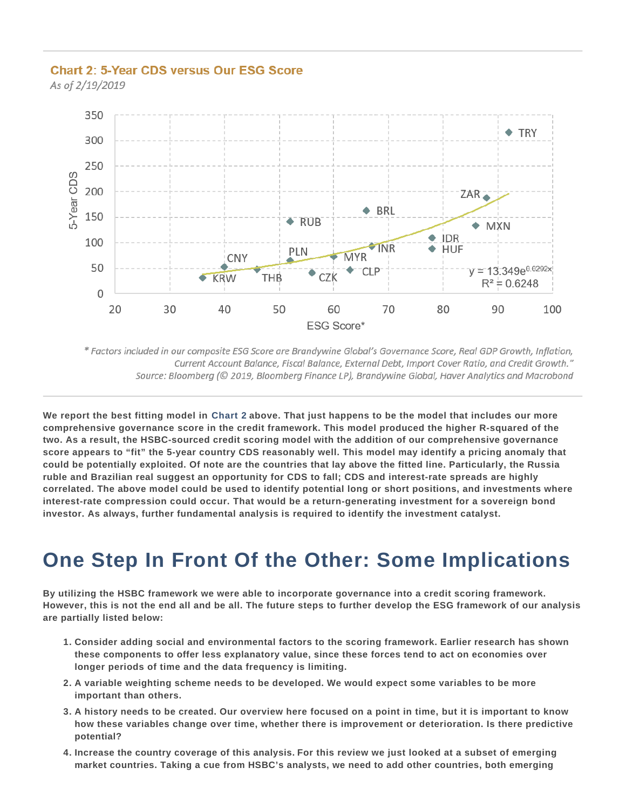### **Chart 2: 5-Year CDS versus Our ESG Score**

As of 2/19/2019



\* Factors included in our composite ESG Score are Brandywine Global's Governance Score, Real GDP Growth, Inflation, Current Account Balance, Fiscal Balance, External Debt, Import Cover Ratio, and Credit Growth." Source: Bloomberg (© 2019, Bloomberg Finance LP), Brandywine Global, Haver Analytics and Macrobond

**We report the best fitting model in Chart 2 above. That just happens to be the model that includes our more comprehensive governance score in the credit framework. This model produced the higher R-squared of the two. As a result, the HSBC-sourced credit scoring model with the addition of our comprehensive governance score appears to "fit" the 5-year country CDS reasonably well. This model may identify a pricing anomaly that could be potentially exploited. Of note are the countries that lay above the fitted line. Particularly, the Russia ruble and Brazilian real suggest an opportunity for CDS to fall; CDS and interest-rate spreads are highly correlated. The above model could be used to identify potential long or short positions, and investments where interest-rate compression could occur. That would be a return-generating investment for a sovereign bond investor. As always, further fundamental analysis is required to identify the investment catalyst.** 

### **One Step In Front Of the Other: Some Implications**

**By utilizing the HSBC framework we were able to incorporate governance into a credit scoring framework. However, this is not the end all and be all. The future steps to further develop the ESG framework of our analysis are partially listed below:** 

- **Consider adding social and environmental factors to the scoring framework. Earlier research has shown 1. these components to offer less explanatory value, since these forces tend to act on economies over longer periods of time and the data frequency is limiting.**
- **A variable weighting scheme needs to be developed. We would expect some variables to be more 2. important than others.**
- **A history needs to be created. Our overview here focused on a point in time, but it is important to know 3. how these variables change over time, whether there is improvement or deterioration. Is there predictive potential?**
- **Increase the country coverage of this analysis. For this review we just looked at a subset of emerging 4.market countries. Taking a cue from HSBC's analysts, we need to add other countries, both emerging**